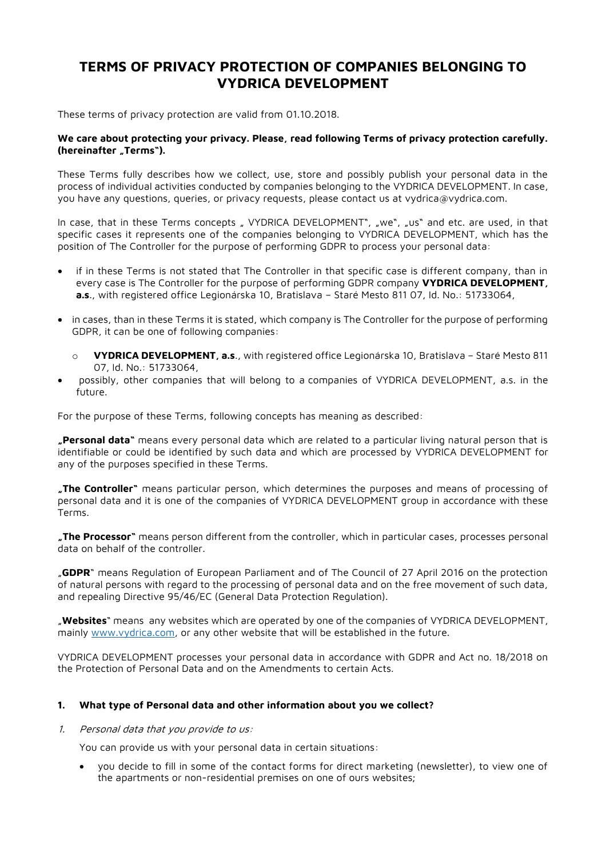# **TERMS OF PRIVACY PROTECTION OF COMPANIES BELONGING TO VYDRICA DEVELOPMENT**

These terms of privacy protection are valid from 01.10.2018.

# **We care about protecting your privacy. Please, read following Terms of privacy protection carefully. (hereinafter "Terms").**

These Terms fully describes how we collect, use, store and possibly publish your personal data in the process of individual activities conducted by companies belonging to the VYDRICA DEVELOPMENT. In case, you have any questions, queries, or privacy requests, please contact us at vydrica@vydrica.com.

In case, that in these Terms concepts " VYDRICA DEVELOPMENT", "we", "us" and etc. are used, in that specific cases it represents one of the companies belonging to VYDRICA DEVELOPMENT, which has the position of The Controller for the purpose of performing GDPR to process your personal data:

- if in these Terms is not stated that The Controller in that specific case is different company, than in every case is The Controller for the purpose of performing GDPR company **VYDRICA DEVELOPMENT, a.s**., with registered office Legionárska 10, Bratislava – Staré Mesto 811 07, Id. No.: 51733064,
- in cases, than in these Terms it is stated, which company is The Controller for the purpose of performing GDPR, it can be one of following companies:
	- o **VYDRICA DEVELOPMENT, a.s**., with registered office Legionárska 10, Bratislava Staré Mesto 811 07, Id. No.: 51733064,
- possibly, other companies that will belong to a companies of VYDRICA DEVELOPMENT, a.s. in the future.

For the purpose of these Terms, following concepts has meaning as described:

**"Personal data"** means every personal data which are related to a particular living natural person that is identifiable or could be identified by such data and which are processed by VYDRICA DEVELOPMENT for any of the purposes specified in these Terms.

**"The Controller"** means particular person, which determines the purposes and means of processing of personal data and it is one of the companies of VYDRICA DEVELOPMENT group in accordance with these Terms.

**"The Processor"** means person different from the controller, which in particular cases, processes personal data on behalf of the controller.

"**GDPR**" means Regulation of European Parliament and of The Council of 27 April 2016 on the protection of natural persons with regard to the processing of personal data and on the free movement of such data, and repealing Directive 95/46/EC (General Data Protection Regulation).

"**Websites**" means any websites which are operated by one of the companies of VYDRICA DEVELOPMENT, mainly [www.vydrica.com,](http://www.vydrica.com/) or any other website that will be established in the future.

VYDRICA DEVELOPMENT processes your personal data in accordance with GDPR and Act no. 18/2018 on the Protection of Personal Data and on the Amendments to certain Acts.

# **1. What type of Personal data and other information about you we collect?**

#### 1. Personal data that you provide to us:

You can provide us with your personal data in certain situations:

• you decide to fill in some of the contact forms for direct marketing (newsletter), to view one of the apartments or non-residential premises on one of ours websites;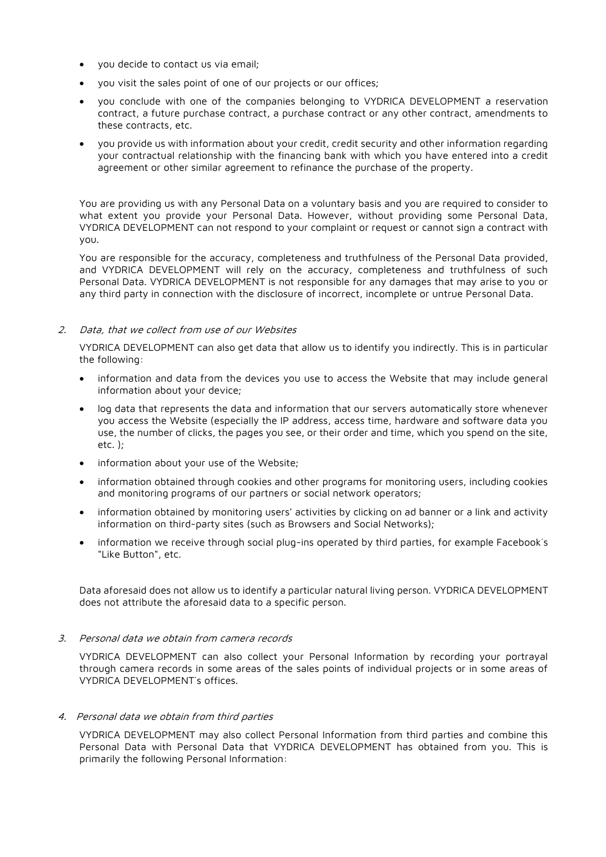- you decide to contact us via email;
- you visit the sales point of one of our projects or our offices;
- you conclude with one of the companies belonging to VYDRICA DEVELOPMENT a reservation contract, a future purchase contract, a purchase contract or any other contract, amendments to these contracts, etc.
- you provide us with information about your credit, credit security and other information regarding your contractual relationship with the financing bank with which you have entered into a credit agreement or other similar agreement to refinance the purchase of the property.

You are providing us with any Personal Data on a voluntary basis and you are required to consider to what extent you provide your Personal Data. However, without providing some Personal Data, VYDRICA DEVELOPMENT can not respond to your complaint or request or cannot sign a contract with you.

You are responsible for the accuracy, completeness and truthfulness of the Personal Data provided, and VYDRICA DEVELOPMENT will rely on the accuracy, completeness and truthfulness of such Personal Data. VYDRICA DEVELOPMENT is not responsible for any damages that may arise to you or any third party in connection with the disclosure of incorrect, incomplete or untrue Personal Data.

## 2. Data, that we collect from use of our Websites

VYDRICA DEVELOPMENT can also get data that allow us to identify you indirectly. This is in particular the following:

- information and data from the devices you use to access the Website that may include general information about your device;
- log data that represents the data and information that our servers automatically store whenever you access the Website (especially the IP address, access time, hardware and software data you use, the number of clicks, the pages you see, or their order and time, which you spend on the site, etc. );
- information about your use of the Website;
- information obtained through cookies and other programs for monitoring users, including cookies and monitoring programs of our partners or social network operators;
- information obtained by monitoring users' activities by clicking on ad banner or a link and activity information on third-party sites (such as Browsers and Social Networks);
- information we receive through social plug-ins operated by third parties, for example Facebook´s "Like Button", etc.

Data aforesaid does not allow us to identify a particular natural living person. VYDRICA DEVELOPMENT does not attribute the aforesaid data to a specific person.

#### 3. Personal data we obtain from camera records

VYDRICA DEVELOPMENT can also collect your Personal Information by recording your portrayal through camera records in some areas of the sales points of individual projects or in some areas of VYDRICA DEVELOPMENT´s offices.

#### 4. Personal data we obtain from third parties

VYDRICA DEVELOPMENT may also collect Personal Information from third parties and combine this Personal Data with Personal Data that VYDRICA DEVELOPMENT has obtained from you. This is primarily the following Personal Information: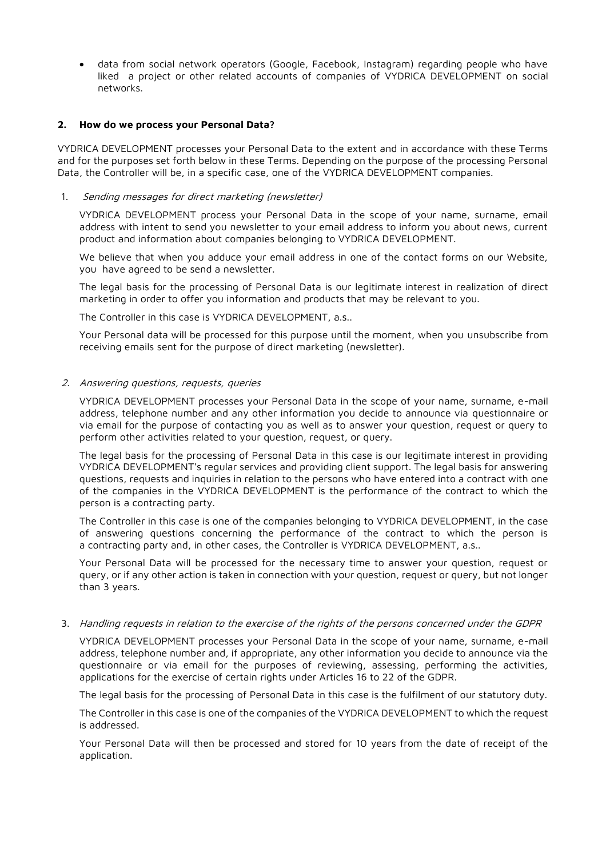• data from social network operators (Google, Facebook, Instagram) regarding people who have liked a project or other related accounts of companies of VYDRICA DEVELOPMENT on social networks.

#### **2. How do we process your Personal Data?**

VYDRICA DEVELOPMENT processes your Personal Data to the extent and in accordance with these Terms and for the purposes set forth below in these Terms. Depending on the purpose of the processing Personal Data, the Controller will be, in a specific case, one of the VYDRICA DEVELOPMENT companies.

## 1. Sending messages for direct marketing (newsletter)

VYDRICA DEVELOPMENT process your Personal Data in the scope of your name, surname, email address with intent to send you newsletter to your email address to inform you about news, current product and information about companies belonging to VYDRICA DEVELOPMENT.

We believe that when you adduce your email address in one of the contact forms on our Website, you have agreed to be send a newsletter.

The legal basis for the processing of Personal Data is our legitimate interest in realization of direct marketing in order to offer you information and products that may be relevant to you.

The Controller in this case is VYDRICA DEVELOPMENT, a.s..

Your Personal data will be processed for this purpose until the moment, when you unsubscribe from receiving emails sent for the purpose of direct marketing (newsletter).

## 2. Answering questions, requests, queries

VYDRICA DEVELOPMENT processes your Personal Data in the scope of your name, surname, e-mail address, telephone number and any other information you decide to announce via questionnaire or via email for the purpose of contacting you as well as to answer your question, request or query to perform other activities related to your question, request, or query.

The legal basis for the processing of Personal Data in this case is our legitimate interest in providing VYDRICA DEVELOPMENT's regular services and providing client support. The legal basis for answering questions, requests and inquiries in relation to the persons who have entered into a contract with one of the companies in the VYDRICA DEVELOPMENT is the performance of the contract to which the person is a contracting party.

The Controller in this case is one of the companies belonging to VYDRICA DEVELOPMENT, in the case of answering questions concerning the performance of the contract to which the person is a contracting party and, in other cases, the Controller is VYDRICA DEVELOPMENT, a.s..

Your Personal Data will be processed for the necessary time to answer your question, request or query, or if any other action is taken in connection with your question, request or query, but not longer than 3 years.

#### 3. Handling requests in relation to the exercise of the rights of the persons concerned under the GDPR

VYDRICA DEVELOPMENT processes your Personal Data in the scope of your name, surname, e-mail address, telephone number and, if appropriate, any other information you decide to announce via the questionnaire or via email for the purposes of reviewing, assessing, performing the activities, applications for the exercise of certain rights under Articles 16 to 22 of the GDPR.

The legal basis for the processing of Personal Data in this case is the fulfilment of our statutory duty.

The Controller in this case is one of the companies of the VYDRICA DEVELOPMENT to which the request is addressed.

Your Personal Data will then be processed and stored for 10 years from the date of receipt of the application.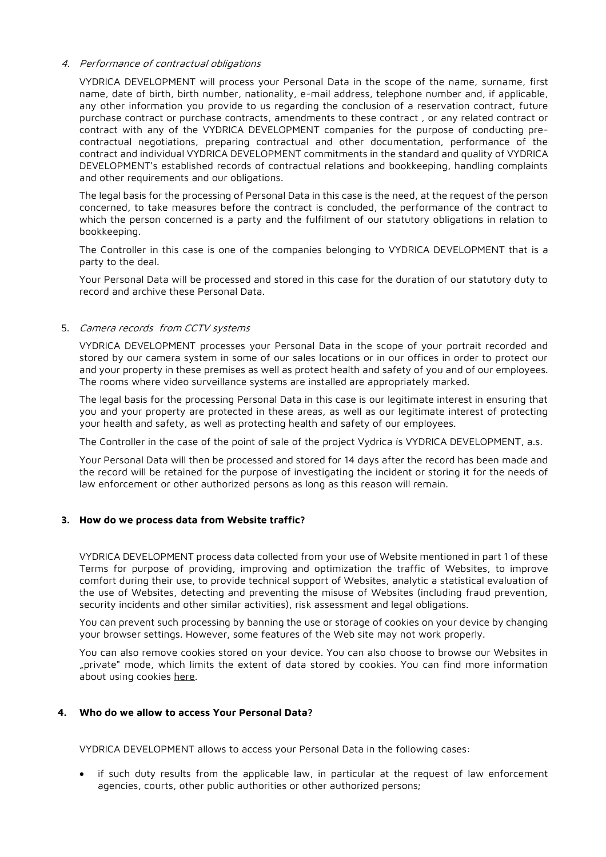#### 4. Performance of contractual obligations

VYDRICA DEVELOPMENT will process your Personal Data in the scope of the name, surname, first name, date of birth, birth number, nationality, e-mail address, telephone number and, if applicable, any other information you provide to us regarding the conclusion of a reservation contract, future purchase contract or purchase contracts, amendments to these contract , or any related contract or contract with any of the VYDRICA DEVELOPMENT companies for the purpose of conducting precontractual negotiations, preparing contractual and other documentation, performance of the contract and individual VYDRICA DEVELOPMENT commitments in the standard and quality of VYDRICA DEVELOPMENT's established records of contractual relations and bookkeeping, handling complaints and other requirements and our obligations.

The legal basis for the processing of Personal Data in this case is the need, at the request of the person concerned, to take measures before the contract is concluded, the performance of the contract to which the person concerned is a party and the fulfilment of our statutory obligations in relation to bookkeeping.

The Controller in this case is one of the companies belonging to VYDRICA DEVELOPMENT that is a party to the deal.

Your Personal Data will be processed and stored in this case for the duration of our statutory duty to record and archive these Personal Data.

## 5. Camera records from CCTV systems

VYDRICA DEVELOPMENT processes your Personal Data in the scope of your portrait recorded and stored by our camera system in some of our sales locations or in our offices in order to protect our and your property in these premises as well as protect health and safety of you and of our employees. The rooms where video surveillance systems are installed are appropriately marked.

The legal basis for the processing Personal Data in this case is our legitimate interest in ensuring that you and your property are protected in these areas, as well as our legitimate interest of protecting your health and safety, as well as protecting health and safety of our employees.

The Controller in the case of the point of sale of the project Vydrica is VYDRICA DEVELOPMENT, a.s.

Your Personal Data will then be processed and stored for 14 days after the record has been made and the record will be retained for the purpose of investigating the incident or storing it for the needs of law enforcement or other authorized persons as long as this reason will remain.

#### **3. How do we process data from Website traffic?**

VYDRICA DEVELOPMENT process data collected from your use of Website mentioned in part 1 of these Terms for purpose of providing, improving and optimization the traffic of Websites, to improve comfort during their use, to provide technical support of Websites, analytic a statistical evaluation of the use of Websites, detecting and preventing the misuse of Websites (including fraud prevention, security incidents and other similar activities), risk assessment and legal obligations.

You can prevent such processing by banning the use or storage of cookies on your device by changing your browser settings. However, some features of the Web site may not work properly.

You can also remove cookies stored on your device. You can also choose to browse our Websites in "private" mode, which limits the extent of data stored by cookies. You can find more information about using cookies here.

#### **4. Who do we allow to access Your Personal Data?**

VYDRICA DEVELOPMENT allows to access your Personal Data in the following cases:

if such duty results from the applicable law, in particular at the request of law enforcement agencies, courts, other public authorities or other authorized persons;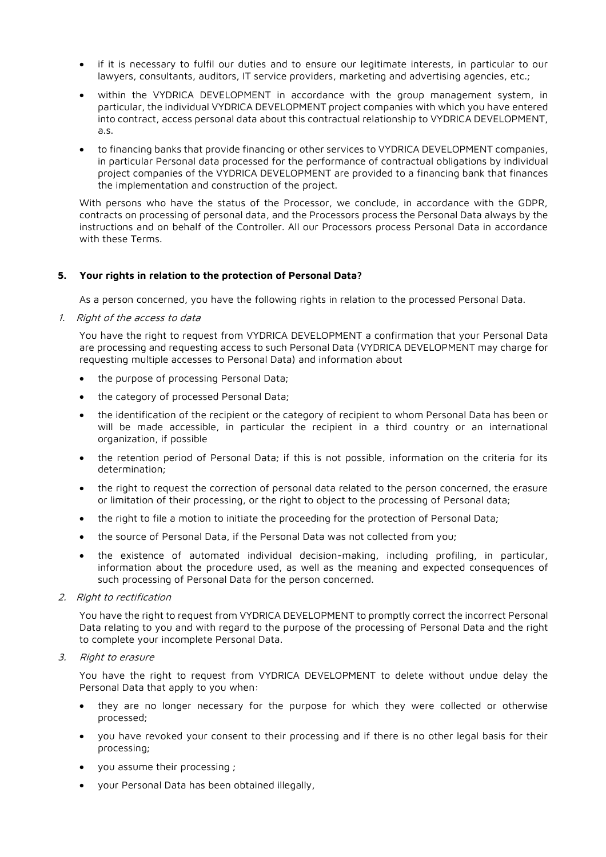- if it is necessary to fulfil our duties and to ensure our legitimate interests, in particular to our lawyers, consultants, auditors, IT service providers, marketing and advertising agencies, etc.;
- within the VYDRICA DEVELOPMENT in accordance with the group management system, in particular, the individual VYDRICA DEVELOPMENT project companies with which you have entered into contract, access personal data about this contractual relationship to VYDRICA DEVELOPMENT, a.s.
- to financing banks that provide financing or other services to VYDRICA DEVELOPMENT companies, in particular Personal data processed for the performance of contractual obligations by individual project companies of the VYDRICA DEVELOPMENT are provided to a financing bank that finances the implementation and construction of the project.

With persons who have the status of the Processor, we conclude, in accordance with the GDPR, contracts on processing of personal data, and the Processors process the Personal Data always by the instructions and on behalf of the Controller. All our Processors process Personal Data in accordance with these Terms.

# **5. Your rights in relation to the protection of Personal Data?**

As a person concerned, you have the following rights in relation to the processed Personal Data.

1. Right of the access to data

You have the right to request from VYDRICA DEVELOPMENT a confirmation that your Personal Data are processing and requesting access to such Personal Data (VYDRICA DEVELOPMENT may charge for requesting multiple accesses to Personal Data) and information about

- the purpose of processing Personal Data;
- the category of processed Personal Data;
- the identification of the recipient or the category of recipient to whom Personal Data has been or will be made accessible, in particular the recipient in a third country or an international organization, if possible
- the retention period of Personal Data; if this is not possible, information on the criteria for its determination;
- the right to request the correction of personal data related to the person concerned, the erasure or limitation of their processing, or the right to object to the processing of Personal data;
- the right to file a motion to initiate the proceeding for the protection of Personal Data;
- the source of Personal Data, if the Personal Data was not collected from you;
- the existence of automated individual decision-making, including profiling, in particular, information about the procedure used, as well as the meaning and expected consequences of such processing of Personal Data for the person concerned.
- 2. Right to rectification

You have the right to request from VYDRICA DEVELOPMENT to promptly correct the incorrect Personal Data relating to you and with regard to the purpose of the processing of Personal Data and the right to complete your incomplete Personal Data.

3. Right to erasure

You have the right to request from VYDRICA DEVELOPMENT to delete without undue delay the Personal Data that apply to you when:

- they are no longer necessary for the purpose for which they were collected or otherwise processed;
- you have revoked your consent to their processing and if there is no other legal basis for their processing;
- you assume their processing ;
- your Personal Data has been obtained illegally,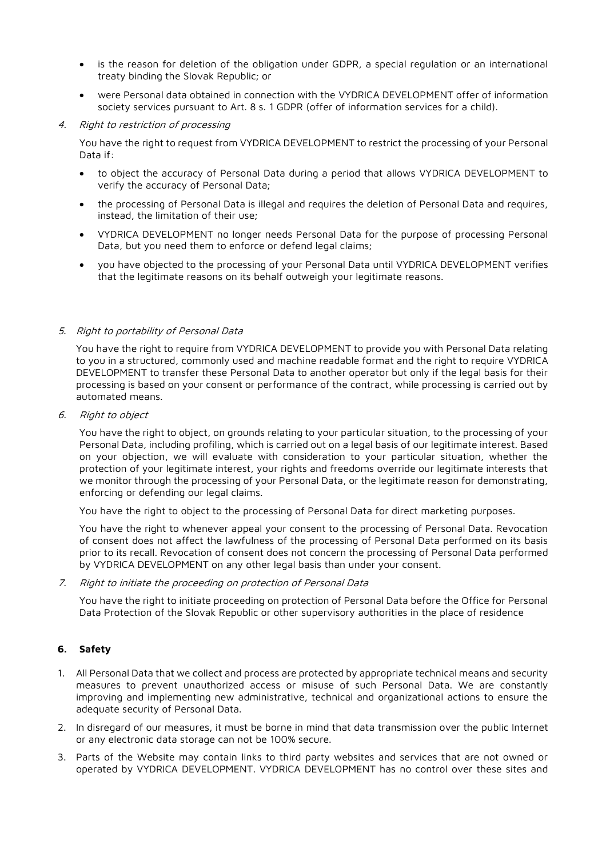- is the reason for deletion of the obligation under GDPR, a special regulation or an international treaty binding the Slovak Republic; or
- were Personal data obtained in connection with the VYDRICA DEVELOPMENT offer of information society services pursuant to Art. 8 s. 1 GDPR (offer of information services for a child).
- 4. Right to restriction of processing

You have the right to request from VYDRICA DEVELOPMENT to restrict the processing of your Personal Data if:

- to object the accuracy of Personal Data during a period that allows VYDRICA DEVELOPMENT to verify the accuracy of Personal Data;
- the processing of Personal Data is illegal and requires the deletion of Personal Data and requires, instead, the limitation of their use;
- VYDRICA DEVELOPMENT no longer needs Personal Data for the purpose of processing Personal Data, but you need them to enforce or defend legal claims;
- you have objected to the processing of your Personal Data until VYDRICA DEVELOPMENT verifies that the legitimate reasons on its behalf outweigh your legitimate reasons.

# 5. Right to portability of Personal Data

You have the right to require from VYDRICA DEVELOPMENT to provide you with Personal Data relating to you in a structured, commonly used and machine readable format and the right to require VYDRICA DEVELOPMENT to transfer these Personal Data to another operator but only if the legal basis for their processing is based on your consent or performance of the contract, while processing is carried out by automated means.

6. Right to object

You have the right to object, on grounds relating to your particular situation, to the processing of your Personal Data, including profiling, which is carried out on a legal basis of our legitimate interest. Based on your objection, we will evaluate with consideration to your particular situation, whether the protection of your legitimate interest, your rights and freedoms override our legitimate interests that we monitor through the processing of your Personal Data, or the legitimate reason for demonstrating, enforcing or defending our legal claims.

You have the right to object to the processing of Personal Data for direct marketing purposes.

You have the right to whenever appeal your consent to the processing of Personal Data. Revocation of consent does not affect the lawfulness of the processing of Personal Data performed on its basis prior to its recall. Revocation of consent does not concern the processing of Personal Data performed by VYDRICA DEVELOPMENT on any other legal basis than under your consent.

7. Right to initiate the proceeding on protection of Personal Data

You have the right to initiate proceeding on protection of Personal Data before the Office for Personal Data Protection of the Slovak Republic or other supervisory authorities in the place of residence

# **6. Safety**

- 1. All Personal Data that we collect and process are protected by appropriate technical means and security measures to prevent unauthorized access or misuse of such Personal Data. We are constantly improving and implementing new administrative, technical and organizational actions to ensure the adequate security of Personal Data.
- 2. In disregard of our measures, it must be borne in mind that data transmission over the public Internet or any electronic data storage can not be 100% secure.
- 3. Parts of the Website may contain links to third party websites and services that are not owned or operated by VYDRICA DEVELOPMENT. VYDRICA DEVELOPMENT has no control over these sites and